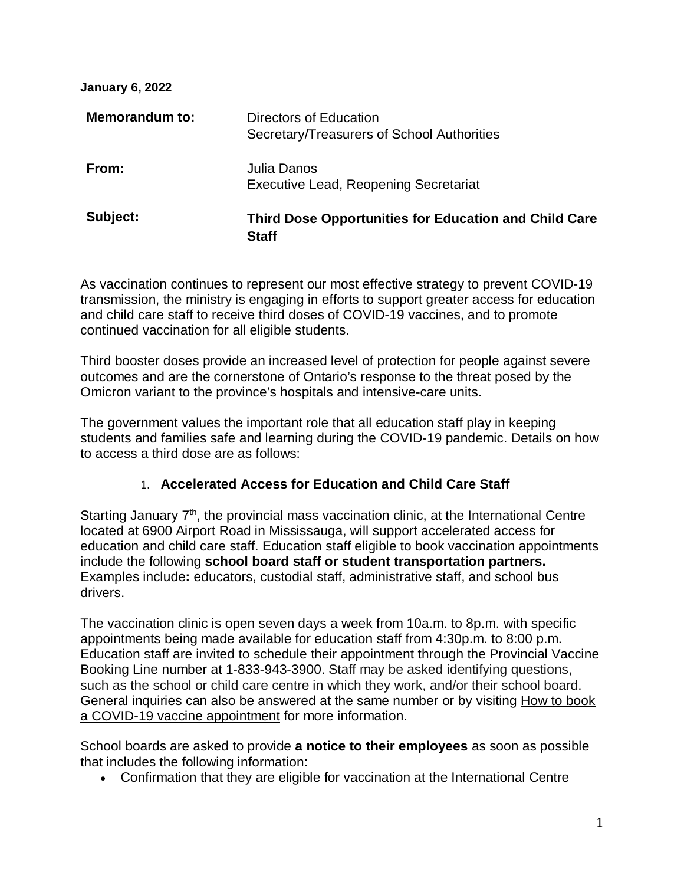| <b>January 6, 2022</b> |                                                                              |
|------------------------|------------------------------------------------------------------------------|
| Memorandum to:         | Directors of Education<br>Secretary/Treasurers of School Authorities         |
| From:                  | Julia Danos<br>Executive Lead, Reopening Secretariat                         |
| Subject:               | <b>Third Dose Opportunities for Education and Child Care</b><br><b>Staff</b> |

As vaccination continues to represent our most effective strategy to prevent COVID-19 transmission, the ministry is engaging in efforts to support greater access for education and child care staff to receive third doses of COVID-19 vaccines, and to promote continued vaccination for all eligible students.

Third booster doses provide an increased level of protection for people against severe outcomes and are the cornerstone of Ontario's response to the threat posed by the Omicron variant to the province's hospitals and intensive-care units.

The government values the important role that all education staff play in keeping students and families safe and learning during the COVID-19 pandemic. Details on how to access a third dose are as follows:

## 1. **Accelerated Access for Education and Child Care Staff**

Starting January  $7<sup>th</sup>$ , the provincial mass vaccination clinic, at the International Centre located at 6900 Airport Road in Mississauga, will support accelerated access for education and child care staff. Education staff eligible to book vaccination appointments include the following **school board staff or student transportation partners.**  Examples include**:** educators, custodial staff, administrative staff, and school bus drivers.

The vaccination clinic is open seven days a week from 10a.m. to 8p.m. with specific appointments being made available for education staff from 4:30p.m. to 8:00 p.m. Education staff are invited to schedule their appointment through the Provincial Vaccine Booking Line number at 1-833-943-3900. Staff may be asked identifying questions, such as the school or child care centre in which they work, and/or their school board. General inquiries can also be answered at the same number or by visiting [How to book](https://covid-19.ontario.ca/book-vaccine/)  [a COVID-19 vaccine appointment](https://covid-19.ontario.ca/book-vaccine/) for more information.

School boards are asked to provide **a notice to their employees** as soon as possible that includes the following information:

• Confirmation that they are eligible for vaccination at the International Centre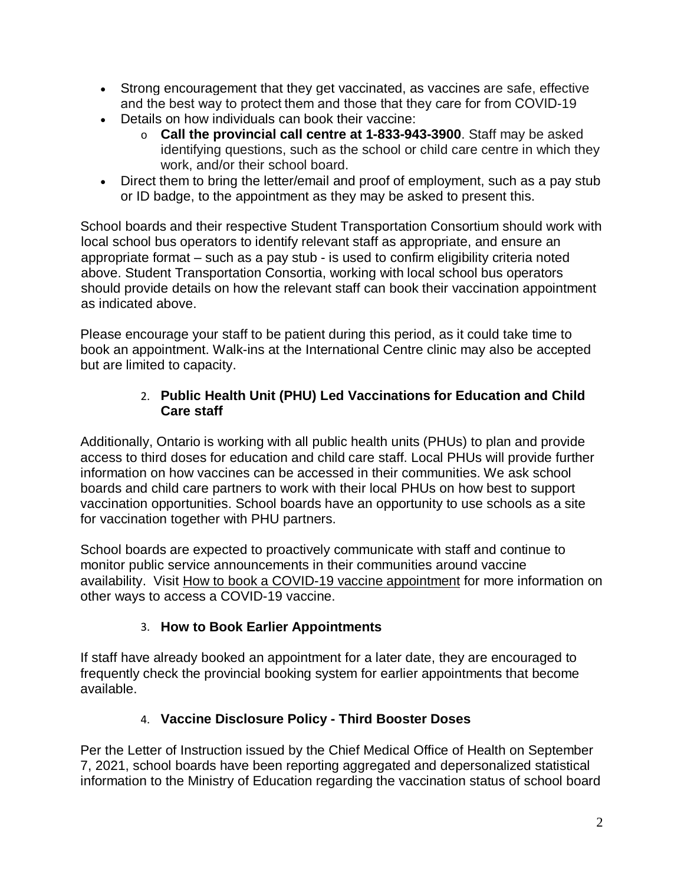- Strong encouragement that they get vaccinated, as vaccines are safe, effective and the best way to protect them and those that they care for from COVID-19
- Details on how individuals can book their vaccine:
	- o **Call the provincial call centre at 1-833-943-3900**. Staff may be asked identifying questions, such as the school or child care centre in which they work, and/or their school board.
- Direct them to bring the letter/email and proof of employment, such as a pay stub or ID badge, to the appointment as they may be asked to present this.

School boards and their respective Student Transportation Consortium should work with local school bus operators to identify relevant staff as appropriate, and ensure an appropriate format – such as a pay stub - is used to confirm eligibility criteria noted above. Student Transportation Consortia, working with local school bus operators should provide details on how the relevant staff can book their vaccination appointment as indicated above.

Please encourage your staff to be patient during this period, as it could take time to book an appointment. Walk-ins at the International Centre clinic may also be accepted but are limited to capacity.

## 2. **Public Health Unit (PHU) Led Vaccinations for Education and Child Care staff**

Additionally, Ontario is working with all public health units (PHUs) to plan and provide access to third doses for education and child care staff. Local PHUs will provide further information on how vaccines can be accessed in their communities. We ask school boards and child care partners to work with their local PHUs on how best to support vaccination opportunities. School boards have an opportunity to use schools as a site for vaccination together with PHU partners.

School boards are expected to proactively communicate with staff and continue to monitor public service announcements in their communities around vaccine availability. Visit [How to book a COVID-19 vaccine appointment](https://covid-19.ontario.ca/book-vaccine/) for more information on other ways to access a COVID-19 vaccine.

## 3. **How to Book Earlier Appointments**

If staff have already booked an appointment for a later date, they are encouraged to frequently check the provincial booking system for earlier appointments that become available.

## 4. **Vaccine Disclosure Policy - Third Booster Doses**

Per the Letter of Instruction issued by the Chief Medical Office of Health on September 7, 2021, school boards have been reporting aggregated and depersonalized statistical information to the Ministry of Education regarding the vaccination status of school board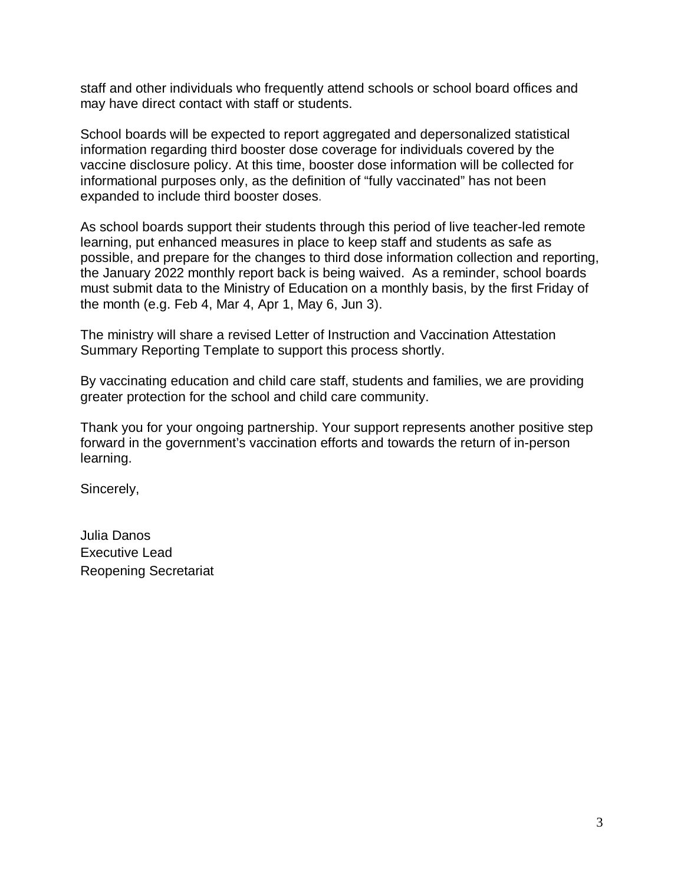staff and other individuals who frequently attend schools or school board offices and may have direct contact with staff or students.

School boards will be expected to report aggregated and depersonalized statistical information regarding third booster dose coverage for individuals covered by the vaccine disclosure policy. At this time, booster dose information will be collected for informational purposes only, as the definition of "fully vaccinated" has not been expanded to include third booster doses.

As school boards support their students through this period of live teacher-led remote learning, put enhanced measures in place to keep staff and students as safe as possible, and prepare for the changes to third dose information collection and reporting, the January 2022 monthly report back is being waived. As a reminder, school boards must submit data to the Ministry of Education on a monthly basis, by the first Friday of the month (e.g. Feb 4, Mar 4, Apr 1, May 6, Jun 3).

The ministry will share a revised Letter of Instruction and Vaccination Attestation Summary Reporting Template to support this process shortly.

By vaccinating education and child care staff, students and families, we are providing greater protection for the school and child care community.

Thank you for your ongoing partnership. Your support represents another positive step forward in the government's vaccination efforts and towards the return of in-person learning.

Sincerely,

Julia Danos Executive Lead Reopening Secretariat